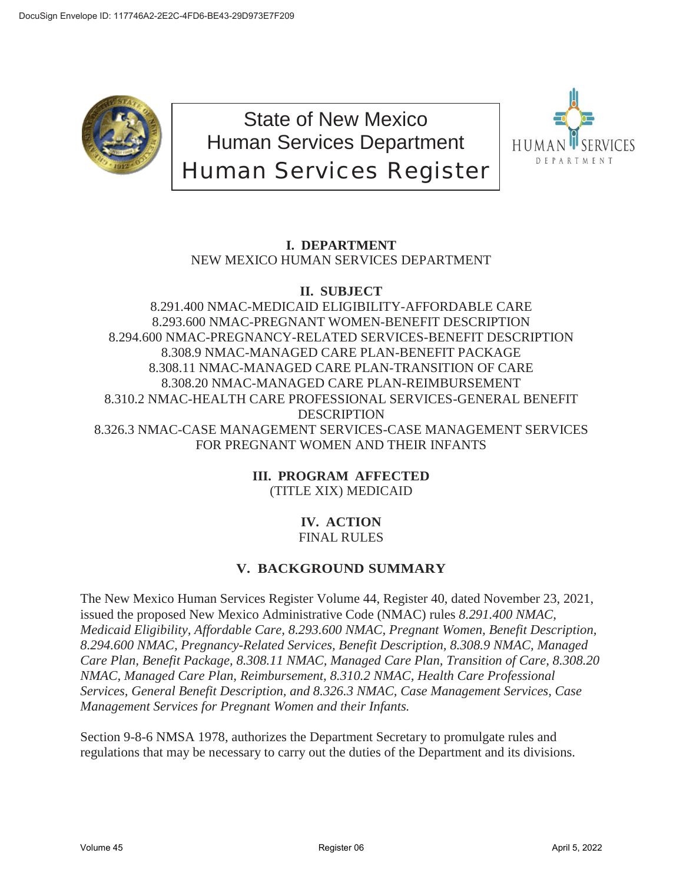

State of New Mexico Human Services Department Human Services Register



## **I. DEPARTMENT** NEW MEXICO HUMAN SERVICES DEPARTMENT

### **II. SUBJECT**

8.291.400 NMAC-MEDICAID ELIGIBILITY-AFFORDABLE CARE 8.293.600 NMAC-PREGNANT WOMEN-BENEFIT DESCRIPTION 8.294.600 NMAC-PREGNANCY-RELATED SERVICES-BENEFIT DESCRIPTION 8.308.9 NMAC-MANAGED CARE PLAN-BENEFIT PACKAGE 8.308.11 NMAC-MANAGED CARE PLAN-TRANSITION OF CARE 8.308.20 NMAC-MANAGED CARE PLAN-REIMBURSEMENT 8.310.2 NMAC-HEALTH CARE PROFESSIONAL SERVICES-GENERAL BENEFIT **DESCRIPTION** 8.326.3 NMAC-CASE MANAGEMENT SERVICES-CASE MANAGEMENT SERVICES FOR PREGNANT WOMEN AND THEIR INFANTS

> **III. PROGRAM AFFECTED** (TITLE XIX) MEDICAID

#### **IV. ACTION** FINAL RULES

# **V. BACKGROUND SUMMARY**

The New Mexico Human Services Register Volume 44, Register 40, dated November 23, 2021, issued the proposed New Mexico Administrative Code (NMAC) rules *8.291.400 NMAC, Medicaid Eligibility, Affordable Care, 8.293.600 NMAC, Pregnant Women, Benefit Description, 8.294.600 NMAC, Pregnancy-Related Services, Benefit Description, 8.308.9 NMAC, Managed Care Plan, Benefit Package, 8.308.11 NMAC, Managed Care Plan, Transition of Care, 8.308.20 NMAC, Managed Care Plan, Reimbursement, 8.310.2 NMAC, Health Care Professional Services, General Benefit Description, and 8.326.3 NMAC, Case Management Services, Case Management Services for Pregnant Women and their Infants.* 

Section 9-8-6 NMSA 1978, authorizes the Department Secretary to promulgate rules and regulations that may be necessary to carry out the duties of the Department and its divisions.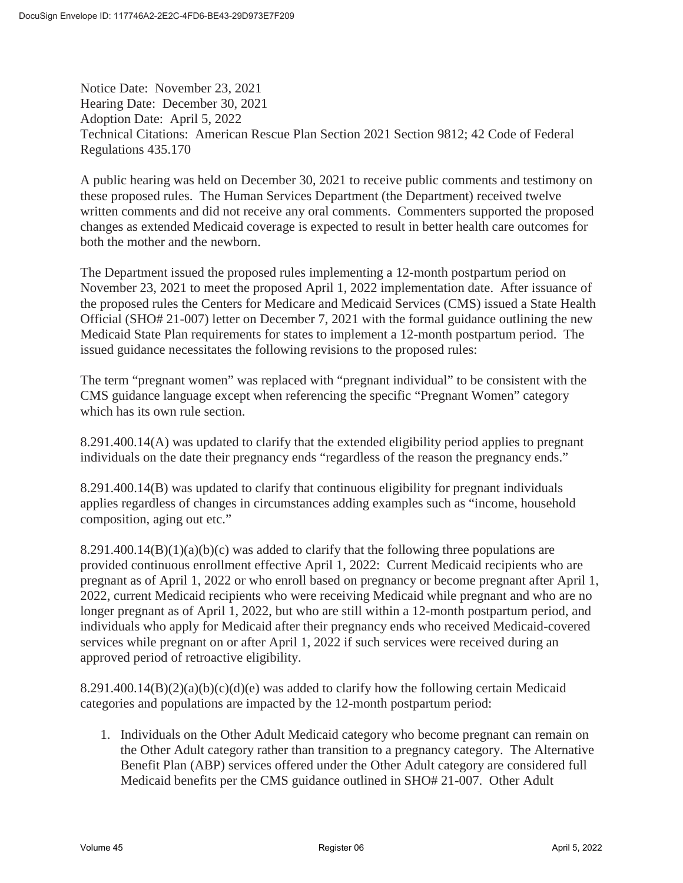Notice Date: November 23, 2021 Hearing Date: December 30, 2021 Adoption Date: April 5, 2022 Technical Citations: American Rescue Plan Section 2021 Section 9812; 42 Code of Federal Regulations 435.170

A public hearing was held on December 30, 2021 to receive public comments and testimony on these proposed rules. The Human Services Department (the Department) received twelve written comments and did not receive any oral comments. Commenters supported the proposed changes as extended Medicaid coverage is expected to result in better health care outcomes for both the mother and the newborn.

The Department issued the proposed rules implementing a 12-month postpartum period on November 23, 2021 to meet the proposed April 1, 2022 implementation date. After issuance of the proposed rules the Centers for Medicare and Medicaid Services (CMS) issued a State Health Official (SHO# 21-007) letter on December 7, 2021 with the formal guidance outlining the new Medicaid State Plan requirements for states to implement a 12-month postpartum period. The issued guidance necessitates the following revisions to the proposed rules:

The term "pregnant women" was replaced with "pregnant individual" to be consistent with the CMS guidance language except when referencing the specific "Pregnant Women" category which has its own rule section.

8.291.400.14(A) was updated to clarify that the extended eligibility period applies to pregnant individuals on the date their pregnancy ends "regardless of the reason the pregnancy ends."

8.291.400.14(B) was updated to clarify that continuous eligibility for pregnant individuals applies regardless of changes in circumstances adding examples such as "income, household composition, aging out etc."

 $8.291.400.14(B)(1)(a)(b)(c)$  was added to clarify that the following three populations are provided continuous enrollment effective April 1, 2022: Current Medicaid recipients who are pregnant as of April 1, 2022 or who enroll based on pregnancy or become pregnant after April 1, 2022, current Medicaid recipients who were receiving Medicaid while pregnant and who are no longer pregnant as of April 1, 2022, but who are still within a 12-month postpartum period, and individuals who apply for Medicaid after their pregnancy ends who received Medicaid-covered services while pregnant on or after April 1, 2022 if such services were received during an approved period of retroactive eligibility.

 $8.291.400.14(B)(2)(a)(b)(c)(d)(e)$  was added to clarify how the following certain Medicaid categories and populations are impacted by the 12-month postpartum period:

1. Individuals on the Other Adult Medicaid category who become pregnant can remain on the Other Adult category rather than transition to a pregnancy category. The Alternative Benefit Plan (ABP) services offered under the Other Adult category are considered full Medicaid benefits per the CMS guidance outlined in SHO# 21-007. Other Adult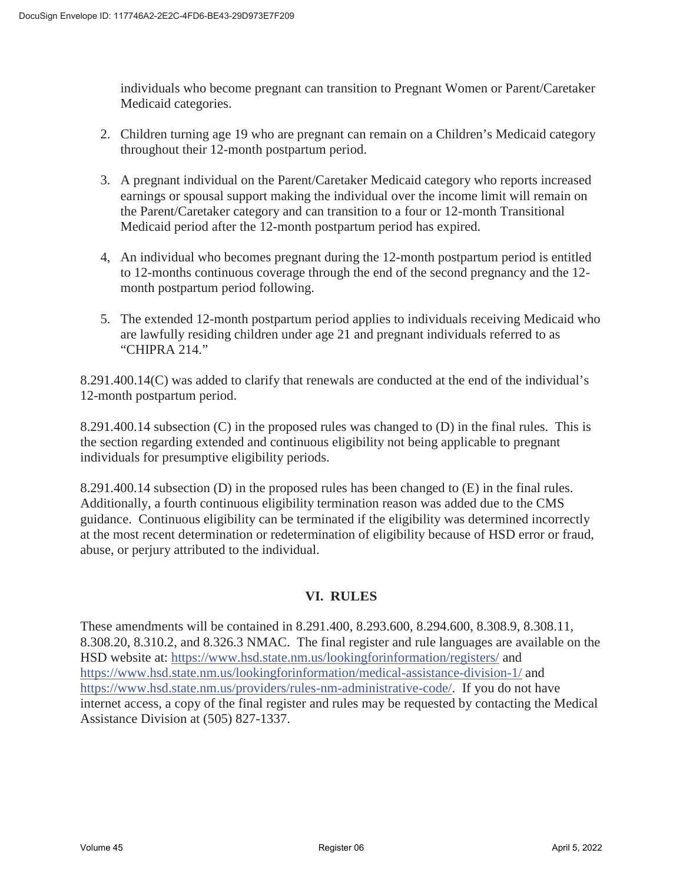individuals who become pregnant can transition to Pregnant Women or Parent/Caretaker Medicaid categories.

- 2. Children turning age 19 who are pregnant can remain on a Children's Medicaid category throughout their 12-month postpartum period.
- 3. A pregnant individual on the Parent/Caretaker Medicaid category who reports increased earnings or spousal support making the individual over the income limit will remain on the Parent/Caretaker category and can transition to a four or 12-month Transitional Medicaid period after the 12-month postpartum period has expired.
- 4, An individual who becomes pregnant during the 12-month postpartum period is entitled to 12-months continuous coverage through the end of the second pregnancy and the 12 month postpartum period following.
- 5. The extended 12-month postpartum period applies to individuals receiving Medicaid who are lawfully residing children under age 21 and pregnant individuals referred to as "CHIPRA 214."

8.291.400.14(C) was added to clarify that renewals are conducted at the end of the individual's 12-month postpartum period.

8.291.400.14 subsection (C) in the proposed rules was changed to (D) in the final rules. This is the section regarding extended and continuous eligibility not being applicable to pregnant individuals for presumptive eligibility periods.

8.291.400.14 subsection (D) in the proposed rules has been changed to (E) in the final rules. Additionally, a fourth continuous eligibility termination reason was added due to the CMS guidance. Continuous eligibility can be terminated if the eligibility was determined incorrectly at the most recent determination or redetermination of eligibility because of HSD error or fraud, abuse, or perjury attributed to the individual.

### **VI. RULES**

These amendments will be contained in 8.291.400, 8.293.600, 8.294.600, 8.308.9, 8.308.11, 8.308.20, 8.310.2, and 8.326.3 NMAC. The final register and rule languages are available on the HSD website at: https://www.hsd.state.nm.us/lookingforinformation/registers/ and https://www.hsd.state.nm.us/lookingforinformation/medical-assistance-division-1/ and https://www.hsd.state.nm.us/providers/rules-nm-administrative-code/. If you do not have internet access, a copy of the final register and rules may be requested by contacting the Medical Assistance Division at (505) 827-1337.